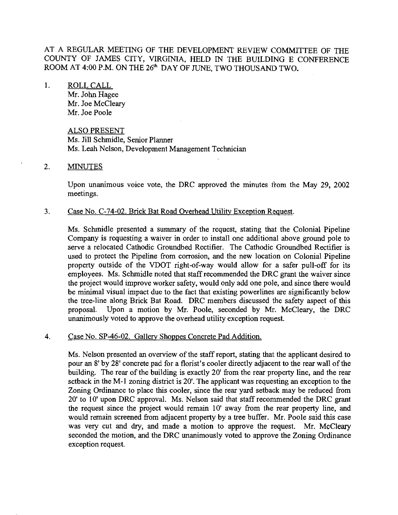AT A REGULAR MEETING OF THE DEVELOPMENT REVIEW COMMITTEE OF THE COUNTY OF JAMES CITY, VIRGINIA, HELD IN THE BUILDING E CONFERENCE ROOM AT 4:00 P.M. ON THE 26' DAY OF **JUNE,** TWO THOUSAND TWO.

1. ROLL CALL Mr. John Hagee Mr. Joe McCleary Mr. Joe Poole

# ALSO PRESENT Ms. Jill Schmidle, Senior Planner Ms. Leah Nelson, Development Management Technician

### 2. MINUTES

Upon unanimous voice vote, the DRC approved the minutes from the May 29, 2002 meetings.

3. Case No. C-74-02. Brick Bat Road Overhead Utility Exception Request.

Ms. Schmidle presented a summary of the request, stating that the Colonial Pipeline Company is requesting a waiver in order to install one additional above ground pole to serve a relocated Cathodic Ciroundbed Rectifier. The Cathodic Groundbed Rectifier is used to protect the Pipeline from corrosion, and the new location on Colonial Pipeline property outside of the VDOT right-of-way would allow for a safer pull-off for its employees. Ms. Schmidle noted that staff recommended the DRC grant the waiver since the project would improve worker safety, would only add one pole, and since there would be minimal visual impact due to the fact that existing powerlines are significantly below the tree-line along Brick Bat Road. DRC members discussed the safety aspect of this proposal. Upon a motion by Mr. Poole, seconded by Mr. McCleary, the DRC unanimously voted to approve the overhead utility exception request.

### 4. Case No. SP-46-02. Gallery Shoppes Concrete Pad Addition.

Ms. Nelson presented an overview of the staff report, stating that the applicant desired to pour an 8' by 28' concrete pad for a florist's cooler directly adjacent to the rear wall of the building. The rear of the building is exactly 20' from the rear property line, and the rear setback in the M-1 zoning district is 20'. The applicant was requesting an exception to the Zoning Ordinance to place this cooler, since the rear yard setback may be reduced from 20' to 10' upon DRC approval. Ms. Nelson said that staff recommended the DRC grant the request since the project would remain 10' away from the rear property line, and would remain screened from adjacent property by a tree buffer. Mr. Poole said this case was very cut and dry, and made a motion to approve the request. Mr. McCleary seconded the motion, and the DRC unanimously voted to approve the Zoning Ordinance exception request.